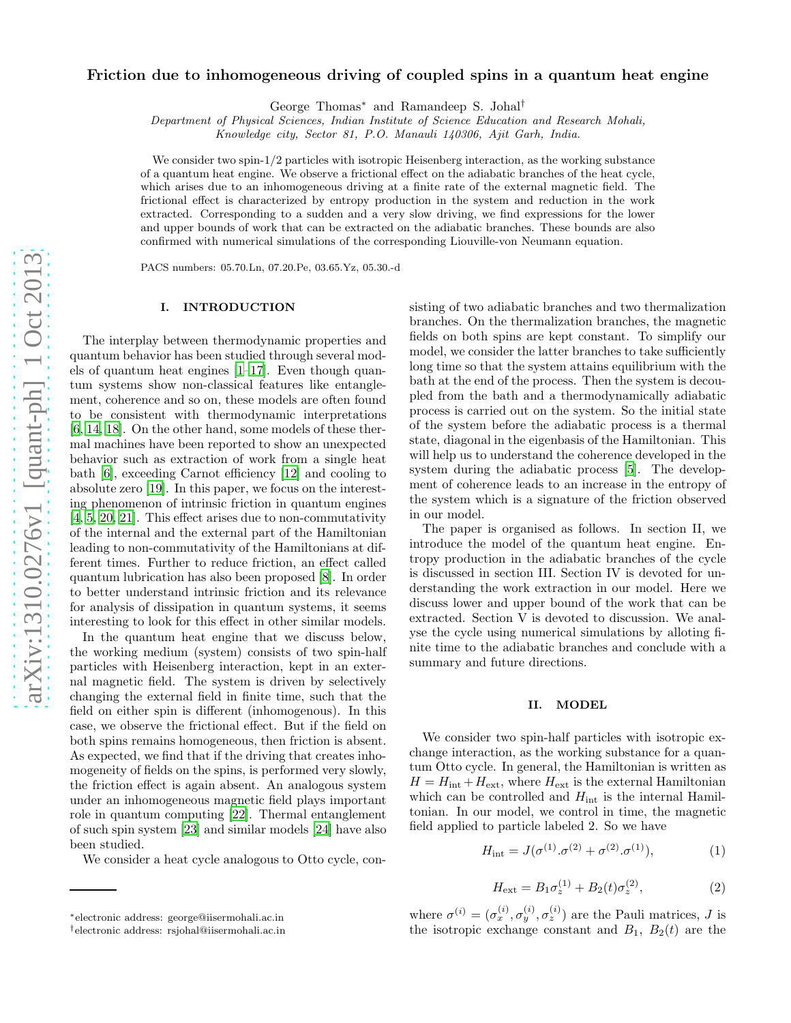# Friction due to inhomogeneous driving of coupled spins in a quantum heat engine

George Thomas<sup>∗</sup> and Ramandeep S. Johal†

*Department of Physical Sciences, Indian Institute of Science Education and Research Mohali,*

*Knowledge city, Sector 81, P.O. Manauli 140306, Ajit Garh, India.*

We consider two spin-1/2 particles with isotropic Heisenberg interaction, as the working substance of a quantum heat engine. We observe a frictional effect on the adiabatic branches of the heat cycle, which arises due to an inhomogeneous driving at a finite rate of the external magnetic field. The frictional effect is characterized by entropy production in the system and reduction in the work extracted. Corresponding to a sudden and a very slow driving, we find expressions for the lower and upper bounds of work that can be extracted on the adiabatic branches. These bounds are also confirmed with numerical simulations of the corresponding Liouville-von Neumann equation.

PACS numbers: 05.70.Ln, 07.20.Pe, 03.65.Yz, 05.30.-d

#### I. INTRODUCTION

The interplay between thermodynamic properties and quantum behavior has been studied through several models of quantum heat engines  $[1-17]$ . Even though quantum systems show non-classical features like entanglement, coherence and so on, these models are often found to be consistent with thermodynamic interpretations [\[6,](#page-4-2) [14,](#page-4-3) [18](#page-4-4)]. On the other hand, some models of these thermal machines have been reported to show an unexpected behavior such as extraction of work from a single heat bath [\[6](#page-4-2)], exceeding Carnot efficiency [\[12\]](#page-4-5) and cooling to absolute zero [\[19\]](#page-4-6). In this paper, we focus on the interesting phenomenon of intrinsic friction in quantum engines [\[4,](#page-4-7) [5](#page-4-8), [20](#page-4-9), [21\]](#page-4-10). This effect arises due to non-commutativity of the internal and the external part of the Hamiltonian leading to non-commutativity of the Hamiltonians at different times. Further to reduce friction, an effect called quantum lubrication has also been proposed [\[8\]](#page-4-11). In order to better understand intrinsic friction and its relevance for analysis of dissipation in quantum systems, it seems interesting to look for this effect in other similar models.

In the quantum heat engine that we discuss below, the working medium (system) consists of two spin-half particles with Heisenberg interaction, kept in an external magnetic field. The system is driven by selectively changing the external field in finite time, such that the field on either spin is different (inhomogenous). In this case, we observe the frictional effect. But if the field on both spins remains homogeneous, then friction is absent. As expected, we find that if the driving that creates inhomogeneity of fields on the spins, is performed very slowly, the friction effect is again absent. An analogous system under an inhomogeneous magnetic field plays important role in quantum computing [\[22\]](#page-4-12). Thermal entanglement of such spin system [\[23\]](#page-4-13) and similar models [\[24\]](#page-4-14) have also been studied.

We consider a heat cycle analogous to Otto cycle, con-

sisting of two adiabatic branches and two thermalization branches. On the thermalization branches, the magnetic fields on both spins are kept constant. To simplify our model, we consider the latter branches to take sufficiently long time so that the system attains equilibrium with the bath at the end of the process. Then the system is decoupled from the bath and a thermodynamically adiabatic process is carried out on the system. So the initial state of the system before the adiabatic process is a thermal state, diagonal in the eigenbasis of the Hamiltonian. This will help us to understand the coherence developed in the system during the adiabatic process [\[5\]](#page-4-8). The development of coherence leads to an increase in the entropy of the system which is a signature of the friction observed in our model.

The paper is organised as follows. In section II, we introduce the model of the quantum heat engine. Entropy production in the adiabatic branches of the cycle is discussed in section III. Section IV is devoted for understanding the work extraction in our model. Here we discuss lower and upper bound of the work that can be extracted. Section V is devoted to discussion. We analyse the cycle using numerical simulations by alloting finite time to the adiabatic branches and conclude with a summary and future directions.

#### II. MODEL

We consider two spin-half particles with isotropic exchange interaction, as the working substance for a quantum Otto cycle. In general, the Hamiltonian is written as  $H = H_{\text{int}} + H_{\text{ext}}$ , where  $H_{\text{ext}}$  is the external Hamiltonian which can be controlled and  $H_{\text{int}}$  is the internal Hamiltonian. In our model, we control in time, the magnetic field applied to particle labeled 2. So we have

$$
H_{\rm int} = J(\sigma^{(1)}.\sigma^{(2)} + \sigma^{(2)}.\sigma^{(1)}),\tag{1}
$$

$$
H_{\rm ext} = B_1 \sigma_z^{(1)} + B_2(t) \sigma_z^{(2)},\tag{2}
$$

where  $\sigma^{(i)} = (\sigma_x^{(i)}, \sigma_y^{(i)}, \sigma_z^{(i)})$  are the Pauli matrices, J is the isotropic exchange constant and  $B_1$ ,  $B_2(t)$  are the

<sup>∗</sup> electronic address: george@iisermohali.ac.in

<sup>†</sup>electronic address: rsjohal@iisermohali.ac.in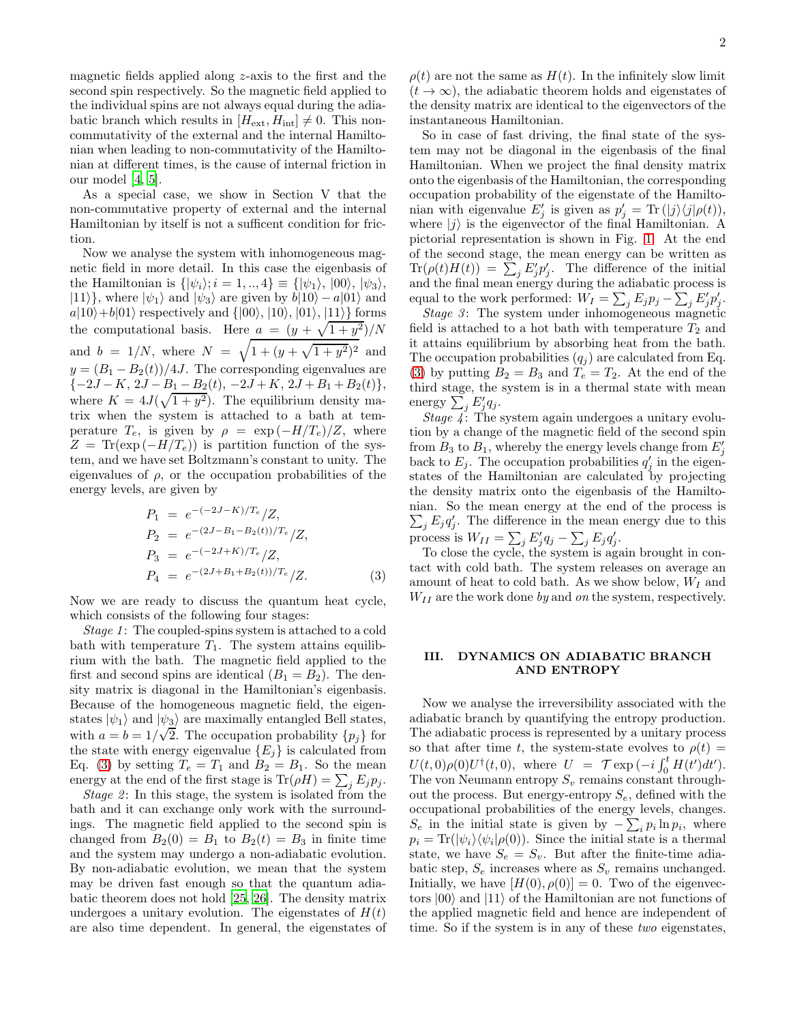magnetic fields applied along z-axis to the first and the second spin respectively. So the magnetic field applied to the individual spins are not always equal during the adiabatic branch which results in  $[H_{\text{ext}}, H_{\text{int}}] \neq 0$ . This noncommutativity of the external and the internal Hamiltonian when leading to non-commutativity of the Hamiltonian at different times, is the cause of internal friction in our model [\[4](#page-4-7), [5](#page-4-8)].

As a special case, we show in Section V that the non-commutative property of external and the internal Hamiltonian by itself is not a sufficent condition for friction.

Now we analyse the system with inhomogeneous magnetic field in more detail. In this case the eigenbasis of the Hamiltonian is  $\{|\psi_i\rangle; i = 1, ..., 4\} \equiv \{|\psi_1\rangle, |00\rangle, |\psi_3\rangle,$  $|11\rangle$ , where  $|\psi_1\rangle$  and  $|\psi_3\rangle$  are given by  $b|10\rangle - a|01\rangle$  and  $a|10\rangle+b|01\rangle$  respectively and  $\{|00\rangle, |10\rangle, |01\rangle, |11\rangle\}$  forms the computational basis. Here  $a = (y + \sqrt{1 + y^2})/N$ and  $b = 1/N$ , where  $N = \sqrt{1 + (y + \sqrt{1 + y^2})^2}$  and  $y = (B_1 - B_2(t))/4J$ . The corresponding eigenvalues are  $\{-2J - K, 2J - B_1 - B_2(t), -2J + K, 2J + B_1 + B_2(t)\},\$ where  $K = 4J(\sqrt{1+y^2})$ . The equilibrium density matrix when the system is attached to a bath at temperature  $T_e$ , is given by  $\rho = \exp(-H/T_e)/Z$ , where  $Z = Tr(\exp(-H/T_e))$  is partition function of the system, and we have set Boltzmann's constant to unity. The eigenvalues of  $\rho$ , or the occupation probabilities of the energy levels, are given by

<span id="page-1-0"></span>
$$
P_1 = e^{-(-2J-K)/T_e}/Z,
$$
  
\n
$$
P_2 = e^{-(2J-B_1-B_2(t))/T_e}/Z,
$$
  
\n
$$
P_3 = e^{-(-2J+K)/T_e}/Z,
$$
  
\n
$$
P_4 = e^{-(2J+B_1+B_2(t))/T_e}/Z.
$$
\n(3)

Now we are ready to discuss the quantum heat cycle, which consists of the following four stages:

Stage 1: The coupled-spins system is attached to a cold bath with temperature  $T_1$ . The system attains equilibrium with the bath. The magnetic field applied to the first and second spins are identical  $(B_1 = B_2)$ . The density matrix is diagonal in the Hamiltonian's eigenbasis. Because of the homogeneous magnetic field, the eigenstates  $|\psi_1\rangle$  and  $|\psi_3\rangle$  are maximally entangled Bell states, with  $a = b = 1/\sqrt{2}$ . The occupation probability  $\{p_j\}$  for the state with energy eigenvalue  $\{E_j\}$  is calculated from Eq. [\(3\)](#page-1-0) by setting  $T_e = T_1$  and  $B_2 = B_1$ . So the mean energy at the end of the first stage is  $\text{Tr}(\rho H) = \sum_j E_j p_j$ .

Stage  $2$ : In this stage, the system is isolated from the bath and it can exchange only work with the surroundings. The magnetic field applied to the second spin is changed from  $B_2(0) = B_1$  to  $B_2(t) = B_3$  in finite time and the system may undergo a non-adiabatic evolution. By non-adiabatic evolution, we mean that the system may be driven fast enough so that the quantum adiabatic theorem does not hold [\[25,](#page-4-15) [26](#page-4-16)]. The density matrix undergoes a unitary evolution. The eigenstates of  $H(t)$ are also time dependent. In general, the eigenstates of

 $\rho(t)$  are not the same as  $H(t)$ . In the infinitely slow limit  $(t \to \infty)$ , the adiabatic theorem holds and eigenstates of the density matrix are identical to the eigenvectors of the instantaneous Hamiltonian.

So in case of fast driving, the final state of the system may not be diagonal in the eigenbasis of the final Hamiltonian. When we project the final density matrix onto the eigenbasis of the Hamiltonian, the corresponding occupation probability of the eigenstate of the Hamiltonian with eigenvalue  $E'_j$  is given as  $p'_j = \text{Tr}(|j\rangle\langle j|\rho(t)),$ where  $|j\rangle$  is the eigenvector of the final Hamiltonian. A pictorial representation is shown in Fig. [1.](#page-2-0) At the end of the second stage, the mean energy can be written as  $\text{Tr}(\rho(t)H(t)) = \sum_j E'_j p'_j$ . The difference of the initial and the final mean energy during the adiabatic process is equal to the work performed:  $W_I = \sum_j E_j p_j - \sum_j E'_j p'_j$ .

Stage 3: The system under inhomogeneous magnetic field is attached to a hot bath with temperature  $T_2$  and it attains equilibrium by absorbing heat from the bath. The occupation probabilities  $(q_i)$  are calculated from Eq. [\(3\)](#page-1-0) by putting  $B_2 = B_3$  and  $T_e = T_2$ . At the end of the third stage, the system is in a thermal state with mean energy  $\sum_j E'_j q_j$ .

Stage  $\ddot{4}$ : The system again undergoes a unitary evolution by a change of the magnetic field of the second spin from  $B_3$  to  $B_1$ , whereby the energy levels change from  $E'_j$ back to  $E_j$ . The occupation probabilities  $q'_j$  in the eigenstates of the Hamiltonian are calculated by projecting the density matrix onto the eigenbasis of the Hamiltonian. So the mean energy at the end of the process is  $\sum_j E_j q'_j$ . The difference in the mean energy due to this process is  $W_{II} = \sum_j E'_j q_j - \sum_j E_j q'_j$ .

To close the cycle, the system is again brought in contact with cold bath. The system releases on average an amount of heat to cold bath. As we show below,  $W_I$  and  $W_{II}$  are the work done by and on the system, respectively.

#### III. DYNAMICS ON ADIABATIC BRANCH AND ENTROPY

Now we analyse the irreversibility associated with the adiabatic branch by quantifying the entropy production. The adiabatic process is represented by a unitary process so that after time t, the system-state evolves to  $\rho(t)$  =  $U(t,0)\rho(0)U^{\dagger}(t,0)$ , where  $U = \mathcal{T} \exp(-i\int_0^t H(t')dt')$ . The von Neumann entropy  $S_v$  remains constant throughout the process. But energy-entropy  $S_e$ , defined with the occupational probabilities of the energy levels, changes.  $S_e$  in the initial state is given by  $-\sum_i p_i \ln p_i$ , where  $p_i = \text{Tr}(|\psi_i\rangle \langle \psi_i | \rho(0))$ . Since the initial state is a thermal state, we have  $S_e = S_v$ . But after the finite-time adiabatic step,  $S_e$  increases where as  $S_v$  remains unchanged. Initially, we have  $[H(0), \rho(0)] = 0$ . Two of the eigenvectors  $|00\rangle$  and  $|11\rangle$  of the Hamiltonian are not functions of the applied magnetic field and hence are independent of time. So if the system is in any of these *two* eigenstates,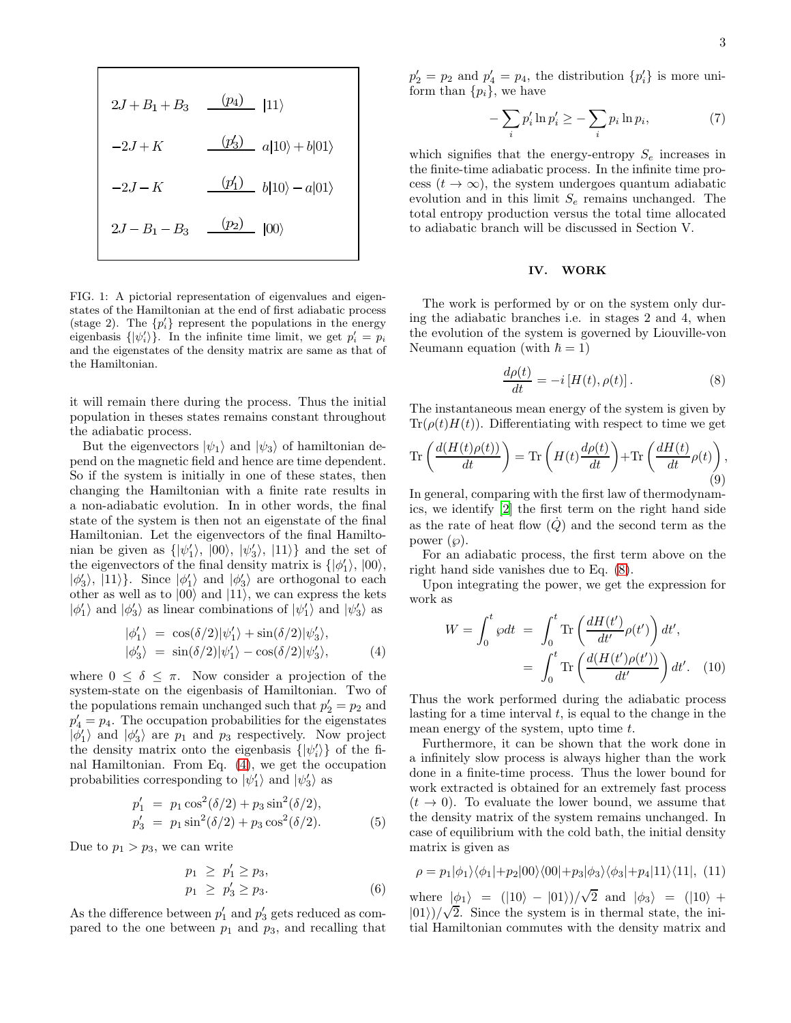$$
2J + B_1 + B_3 \t (p_4) \t |11\rangle
$$
  
\n
$$
-2J + K \t (p'_3) \t a|10\rangle + b|01\rangle
$$
  
\n
$$
-2J - K \t (p'_1) \t b|10\rangle - a|01\rangle
$$
  
\n
$$
2J - B_1 - B_3 \t (p_2) \t |00\rangle
$$

<span id="page-2-0"></span>FIG. 1: A pictorial representation of eigenvalues and eigenstates of the Hamiltonian at the end of first adiabatic process (stage 2). The  $\{p_i'\}$  represent the populations in the energy eigenbasis  $\{|\psi'_i\rangle\}$ . In the infinite time limit, we get  $p'_i = p_i$ and the eigenstates of the density matrix are same as that of the Hamiltonian.

it will remain there during the process. Thus the initial population in theses states remains constant throughout the adiabatic process.

But the eigenvectors  $|\psi_1\rangle$  and  $|\psi_3\rangle$  of hamiltonian depend on the magnetic field and hence are time dependent. So if the system is initially in one of these states, then changing the Hamiltonian with a finite rate results in a non-adiabatic evolution. In in other words, the final state of the system is then not an eigenstate of the final Hamiltonian. Let the eigenvectors of the final Hamiltonian be given as  $\{|\psi'_1\rangle, |00\rangle, |\psi'_3\rangle, |11\rangle\}$  and the set of the eigenvectors of the final density matrix is  $\{|\phi'_1\rangle, |00\rangle,$  $|\phi_3'\rangle$ ,  $|11\rangle$ . Since  $|\phi_1'\rangle$  and  $|\phi_3'\rangle$  are orthogonal to each other as well as to  $|00\rangle$  and  $|11\rangle$ , we can express the kets  $|\phi_1'\rangle$  and  $|\phi_3'\rangle$  as linear combinations of  $|\psi_1'\rangle$  and  $|\psi_3'\rangle$  as

<span id="page-2-1"></span>
$$
\begin{aligned} |\phi_1'\rangle &= \cos(\delta/2)|\psi_1'\rangle + \sin(\delta/2)|\psi_3'\rangle, \\ |\phi_3'\rangle &= \sin(\delta/2)|\psi_1'\rangle - \cos(\delta/2)|\psi_3'\rangle, \end{aligned} \tag{4}
$$

where  $0 \leq \delta \leq \pi$ . Now consider a projection of the system-state on the eigenbasis of Hamiltonian. Two of the populations remain unchanged such that  $p'_2 = p_2$  and  $p'_4 = p_4$ . The occupation probabilities for the eigenstates  $|\phi'_1\rangle$  and  $|\phi'_3\rangle$  are  $p_1$  and  $p_3$  respectively. Now project the density matrix onto the eigenbasis  $\{|\psi_i'\rangle\}$  of the final Hamiltonian. From Eq. [\(4\)](#page-2-1), we get the occupation probabilities corresponding to  $|\psi'_1\rangle$  and  $|\psi'_3\rangle$  as

$$
p'_1 = p_1 \cos^2(\delta/2) + p_3 \sin^2(\delta/2),
$$
  
\n
$$
p'_3 = p_1 \sin^2(\delta/2) + p_3 \cos^2(\delta/2).
$$
 (5)

Due to  $p_1 > p_3$ , we can write

$$
p_1 \ge p'_1 \ge p_3,
$$
  
\n
$$
p_1 \ge p'_3 \ge p_3.
$$
\n(6)

As the difference between  $p'_1$  and  $p'_3$  gets reduced as compared to the one between  $p_1$  and  $p_3$ , and recalling that

 $p'_2 = p_2$  and  $p'_4 = p_4$ , the distribution  $\{p'_i\}$  is more uniform than  $\{p_i\}$ , we have

$$
-\sum_{i} p'_i \ln p'_i \ge -\sum_{i} p_i \ln p_i, \tag{7}
$$

which signifies that the energy-entropy  $S_e$  increases in the finite-time adiabatic process. In the infinite time process  $(t \to \infty)$ , the system undergoes quantum adiabatic evolution and in this limit  $S_e$  remains unchanged. The total entropy production versus the total time allocated to adiabatic branch will be discussed in Section V.

# IV. WORK

The work is performed by or on the system only during the adiabatic branches i.e. in stages 2 and 4, when the evolution of the system is governed by Liouville-von Neumann equation (with  $\hbar = 1$ )

<span id="page-2-2"></span>
$$
\frac{d\rho(t)}{dt} = -i[H(t), \rho(t)].
$$
\n(8)

The instantaneous mean energy of the system is given by  $Tr(\rho(t)H(t))$ . Differentiating with respect to time we get

$$
\operatorname{Tr}\left(\frac{d(H(t)\rho(t))}{dt}\right) = \operatorname{Tr}\left(H(t)\frac{d\rho(t)}{dt}\right) + \operatorname{Tr}\left(\frac{dH(t)}{dt}\rho(t)\right),\tag{9}
$$

In general, comparing with the first law of thermodynamics, we identify [\[2](#page-4-17)] the first term on the right hand side as the rate of heat flow  $(Q)$  and the second term as the power  $(\varphi)$ .

For an adiabatic process, the first term above on the right hand side vanishes due to Eq. [\(8\)](#page-2-2).

Upon integrating the power, we get the expression for work as

$$
W = \int_0^t \wp dt = \int_0^t \text{Tr}\left(\frac{dH(t')}{dt'}\rho(t')\right) dt',
$$
  
= 
$$
\int_0^t \text{Tr}\left(\frac{d(H(t')\rho(t'))}{dt'}\right) dt'. \quad (10)
$$

Thus the work performed during the adiabatic process lasting for a time interval  $t$ , is equal to the change in the mean energy of the system, upto time  $t$ .

Furthermore, it can be shown that the work done in a infinitely slow process is always higher than the work done in a finite-time process. Thus the lower bound for work extracted is obtained for an extremely fast process  $(t \rightarrow 0)$ . To evaluate the lower bound, we assume that the density matrix of the system remains unchanged. In case of equilibrium with the cold bath, the initial density matrix is given as

$$
\rho = p_1 |\phi_1\rangle \langle \phi_1| + p_2 |00\rangle \langle 00| + p_3 |\phi_3\rangle \langle \phi_3| + p_4 |11\rangle \langle 11|, (11)
$$

where  $|\phi_1\rangle$  =  $(|10\rangle - |01\rangle)/\sqrt{2}$  and  $|\phi_3\rangle$  =  $(|10\rangle +$  $|01\rangle$ )/ $\sqrt{2}$ . Since the system is in thermal state, the initial Hamiltonian commutes with the density matrix and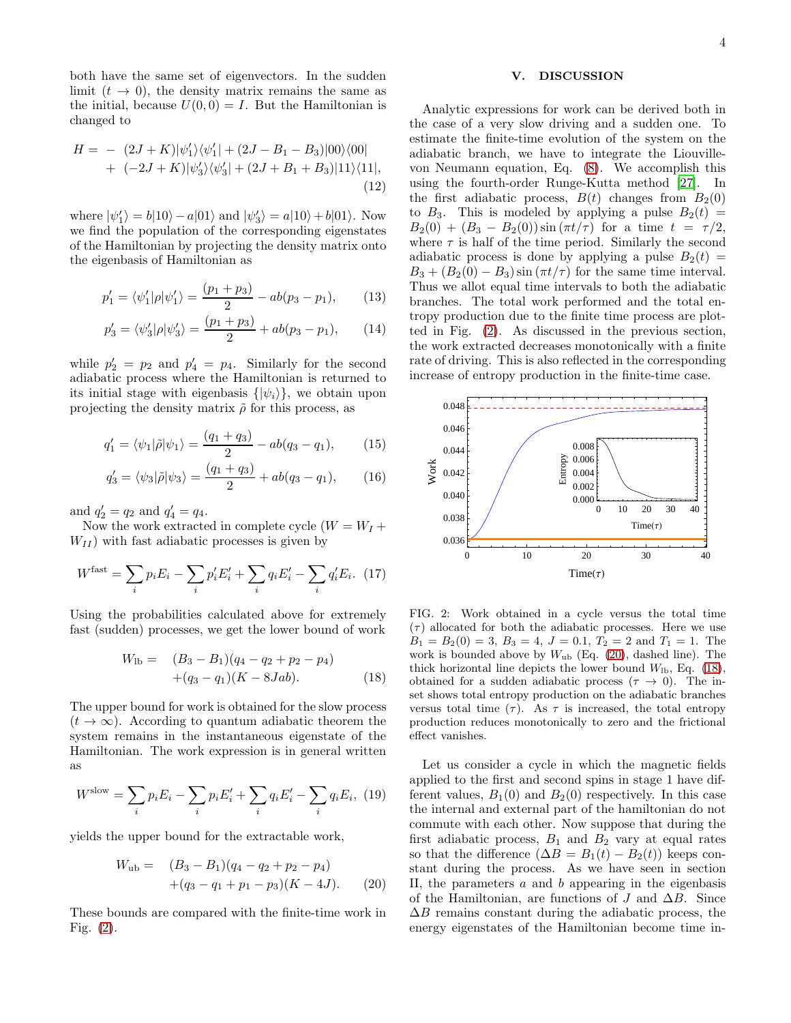both have the same set of eigenvectors. In the sudden limit  $(t \to 0)$ , the density matrix remains the same as the initial, because  $U(0, 0) = I$ . But the Hamiltonian is changed to

$$
H = - (2J + K)|\psi_1'\rangle\langle\psi_1'| + (2J - B_1 - B_3)|00\rangle\langle00| + (-2J + K)|\psi_3'\rangle\langle\psi_3'| + (2J + B_1 + B_3)|11\rangle\langle11|,
$$
\n(12)

where  $|\psi_1\rangle = b|10\rangle - a|01\rangle$  and  $|\psi_3\rangle = a|10\rangle + b|01\rangle$ . Now we find the population of the corresponding eigenstates of the Hamiltonian by projecting the density matrix onto the eigenbasis of Hamiltonian as

$$
p_1' = \langle \psi_1' | \rho | \psi_1' \rangle = \frac{(p_1 + p_3)}{2} - ab(p_3 - p_1), \quad (13)
$$

$$
p_3' = \langle \psi_3' | \rho | \psi_3' \rangle = \frac{(p_1 + p_3)}{2} + ab(p_3 - p_1), \qquad (14)
$$

while  $p'_2 = p_2$  and  $p'_4 = p_4$ . Similarly for the second adiabatic process where the Hamiltonian is returned to its initial stage with eigenbasis  $\{|\psi_i\rangle\}$ , we obtain upon projecting the density matrix  $\tilde{\rho}$  for this process, as

$$
q_1' = \langle \psi_1 | \tilde{\rho} | \psi_1 \rangle = \frac{(q_1 + q_3)}{2} - ab(q_3 - q_1), \qquad (15)
$$

$$
q_3' = \langle \psi_3 | \tilde{\rho} | \psi_3 \rangle = \frac{(q_1 + q_3)}{2} + ab(q_3 - q_1), \quad (16)
$$

and  $q'_2 = q_2$  and  $q'_4 = q_4$ .

Now the work extracted in complete cycle  $(W = W_I +$  $W_{II}$ ) with fast adiabatic processes is given by

$$
W^{\text{fast}} = \sum_{i} p_i E_i - \sum_{i} p'_i E'_i + \sum_{i} q_i E'_i - \sum_{i} q'_i E_i. \tag{17}
$$

Using the probabilities calculated above for extremely fast (sudden) processes, we get the lower bound of work

<span id="page-3-2"></span>
$$
W_{1b} = (B_3 - B_1)(q_4 - q_2 + p_2 - p_4)
$$
  
+(q<sub>3</sub> - q<sub>1</sub>)(K - 8Jab). (18)

The upper bound for work is obtained for the slow process  $(t \to \infty)$ . According to quantum adiabatic theorem the system remains in the instantaneous eigenstate of the Hamiltonian. The work expression is in general written as

$$
W^{\text{slow}} = \sum_{i} p_i E_i - \sum_{i} p_i E'_i + \sum_{i} q_i E'_i - \sum_{i} q_i E_i, \tag{19}
$$

yields the upper bound for the extractable work,

<span id="page-3-1"></span>
$$
W_{\rm ub} = (B_3 - B_1)(q_4 - q_2 + p_2 - p_4)
$$
  
+(q\_3 - q\_1 + p\_1 - p\_3)(K - 4J). (20)

These bounds are compared with the finite-time work in Fig. [\(2\)](#page-3-0).

## V. DISCUSSION

Analytic expressions for work can be derived both in the case of a very slow driving and a sudden one. To estimate the finite-time evolution of the system on the adiabatic branch, we have to integrate the Liouvillevon Neumann equation, Eq. [\(8\)](#page-2-2). We accomplish this using the fourth-order Runge-Kutta method [\[27\]](#page-4-18). In the first adiabatic process,  $B(t)$  changes from  $B<sub>2</sub>(0)$ to  $B_3$ . This is modeled by applying a pulse  $B_2(t)$  =  $B_2(0) + (B_3 - B_2(0)) \sin(\pi t/\tau)$  for a time  $t = \tau/2$ , where  $\tau$  is half of the time period. Similarly the second adiabatic process is done by applying a pulse  $B_2(t)$  =  $B_3 + (B_2(0) - B_3) \sin(\pi t/\tau)$  for the same time interval. Thus we allot equal time intervals to both the adiabatic branches. The total work performed and the total entropy production due to the finite time process are plotted in Fig. [\(2\)](#page-3-0). As discussed in the previous section, the work extracted decreases monotonically with a finite rate of driving. This is also reflected in the corresponding increase of entropy production in the finite-time case.



<span id="page-3-0"></span>FIG. 2: Work obtained in a cycle versus the total time  $(\tau)$  allocated for both the adiabatic processes. Here we use  $B_1 = B_2(0) = 3, B_3 = 4, J = 0.1, T_2 = 2 \text{ and } T_1 = 1.$  The work is bounded above by  $W_{ub}$  (Eq. [\(20\)](#page-3-1), dashed line). The thick horizontal line depicts the lower bound  $W_{\text{lb}}$ , Eq. [\(18\)](#page-3-2), obtained for a sudden adiabatic process ( $\tau \to 0$ ). The inset shows total entropy production on the adiabatic branches versus total time  $(\tau)$ . As  $\tau$  is increased, the total entropy production reduces monotonically to zero and the frictional effect vanishes.

Let us consider a cycle in which the magnetic fields applied to the first and second spins in stage 1 have different values,  $B_1(0)$  and  $B_2(0)$  respectively. In this case the internal and external part of the hamiltonian do not commute with each other. Now suppose that during the first adiabatic process,  $B_1$  and  $B_2$  vary at equal rates so that the difference  $(\Delta B = B_1(t) - B_2(t))$  keeps constant during the process. As we have seen in section II, the parameters  $a$  and  $b$  appearing in the eigenbasis of the Hamiltonian, are functions of J and  $\Delta B$ . Since  $\Delta B$  remains constant during the adiabatic process, the energy eigenstates of the Hamiltonian become time in